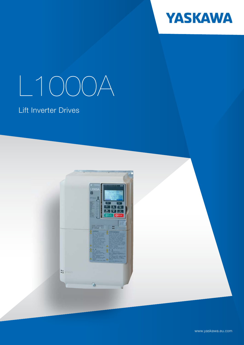

# L1000A

## Lift Inverter Drives



www.yaskawa.eu.com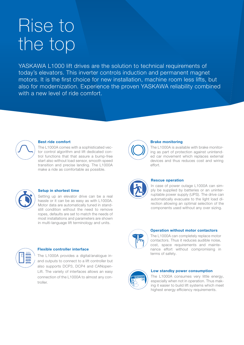## Rise to the top

YASKAWA L1000 lift drives are the solution to technical requirements of today's elevators. This inverter controls induction and permanent magnet motors. It is the first choice for new installation, machine room less lifts, but also for modernization. Experience the proven YASKAWA reliability combined with a new level of ride comfort.



#### Best ride comfort

The L1000A comes with a sophisticated vector control algorithm and lift dedicated control functions that that assure a bump-free start also without load sensor, smooth speed transition and precise landing. The L1000A make a ride as comfortable as possible.



#### Setup in shortest time

Setting up an elevator drive can be a real hassle or it can be as easy as with L1000A. Motor data are automatically tuned in standstill condition without the need to remove ropes, defaults are set to match the needs of most installations and parameters are shown in multi-language lift terminology and units.



#### Flexible controller interface

The L1000A provides a digital/analogue inand outputs to connect to a lift controller but also supports DCP3, DCP4 and CANopen-Lift. The variety of interfaces allows an easy connection of the L1000A to almost any controller.



#### Brake monitoring

The L1000A is available with brake monitoring as part of protection against unintended car movement which replaces external devices and thus reduces cost and wiring effort.



#### Rescue operation

In case of power outage L1000A can simply be supplied by batteries or an uninterruptable power supply (UPS). The drive can automatically evacuate to the light load direction allowing an optimal selection of the components used without any over sizing.



#### Operation without motor contactors

The L1000A can completely replace motor contactors. Thus it reduces audible noise, cost, space requirements and maintenance effort without compromising in terms of safety.



#### Low standby power consumption

The L1000A consumes very little energy, especially when not in operation. Thus making it easier to build lift systems which meet highest energy efficiency requirements.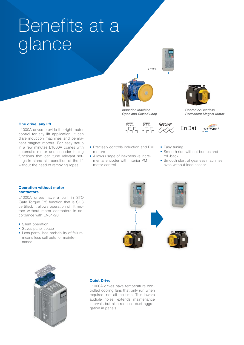## Benefits at a glance





Induction Machine Open and Closed Loop



Geared or Gearless Permanent Magnet Motor

#### One drive, any lift

L1000A drives provide the right motor control for any lift application. It can drive induction machines and permanent magnet motors. For easy setup in a few minutes L1000A comes with automatic motor and encoder tuning functions that can tune relevant settings in stand still condition of the lift without the need of removing ropes.





- Precisely controls induction and PM motors
- Allows usage of inexpensive incremental encoder with Interior PM motor control
- Easy tuning
- Smooth ride without bumps and roll-back
- Smooth start of gearless machines even without load sensor

#### Operation without motor contactors

L1000A drives have a built in STO (Safe Torque Off) function that is SIL3 certified. It allows operation of lift motors without motor contactors in accordance with EN81-20.

- Silent operation
- Saves panel space
- Less parts, less probability of failure means less call outs for maintenance





#### Quiet Drive

L1000A drives have temperature controlled cooling fans that only run when required, not all the time. This lowers audible noise, extends maintenance intervals but also reduces dust aggregation in panels.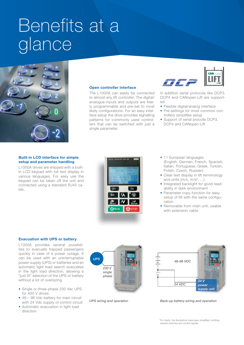## Benefits at a glance



#### Open controller interface

The L1000A can easily be connected to almost any lift controller. The digital/ analogue inputs and outputs are freely programmable and pre-set to most likely configurations. For an easy interface setup the drive provides signalling patterns for commonly used controllers that can be switched with just a single parameter.



In addition serial protocols like DCP3, DCP4 and CANopen-Lift are supported.

- Flexible digital/analog interface
- Pre-settings for most common controllers simplifies setup
- Support of serial procolls DCP3, DCP4 and CANopen-Lift

#### Built-in LCD interface for simple setup and parameter handling

L1000A drives are shipped with a builtin LCD keypad with full text display in various languages. For easy use the keypad can be taken off the unit and connected using a standard RJ45 cable.



- 11 European languages (English, German, French, Spanish, Italian, Portuguese, Greek, Turkish, Polish, Czech, Russian)
- Clear text display in lift terminology and units  $(m/s, m/s<sup>2</sup>, ...)$
- Integrated backlight for good readability in dark environment
- Parameter copy function for easy setup of lift with the same configuration
- Removable from main unit, usable with extension cable

#### Evacuation with UPS or battery

L1000A provides several possibilities to evacuate trapped passengers quickly in case of a power outage. It can be used with an uninterruptable power supply (UPS) or batteries and an automatic light load search evacuates in the light load direction, allowing a "just fit" selection of the UPS or battery without a lot of oversizing.

- Single or three-phase 230 Vac UPS for 400 V drives
- 48 96 Vdc battery for main circuit with 24 Vdc supply of control circuit
- Automatic evacuation in light load direction





UPS wiring and operation **Back-up battery wiring and operation** 

\*For clarity, the illustrations have been simplified, omitting several switches and control signals.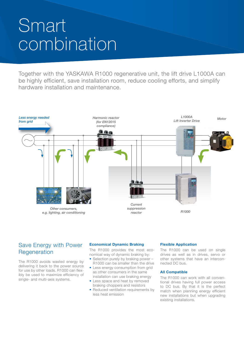## Smart combination

Together with the YASKAWA R1000 regenerative unit, the lift drive L1000A can be highly efficient, save installation room, reduce cooling efforts, and simplify hardware installation and maintenance.



#### Save Energy with Power Regeneration

The R1000 avoids wasted energy by delivering it back to the power source for use by other loads. R1000 can flexibly be used to maximize efficiency of single- and multi-axis systems.

#### Economical Dynamic Braking

The R1000 provides the most economical way of dynamic braking by:

- Selection purely by braking power -R1000 can be smaller than the drive
- Less energy consumption from grid as other consumers in the same installation can use braking energy
- Less space and heat by removed braking choppers and resistors
- Reduced ventilation requirements by less heat emission

#### Flexible Application

The R1000 can be used on single drives as well as in drives, servo or other systems that have an interconnected DC bus.

#### All Compatible

The R1000 can work with all conventional drives having full power access to DC bus. By that it is the perfect match when planning energy efficient new installations but when upgrading existing installations.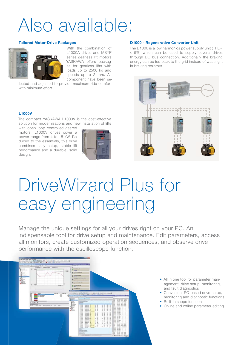## Also available:

#### Tailored Motor-Drive Packages



With the combination of L1000A drives and MSYP series gearless lift motors YASKAWA offers packag-Yes for gearless lifts with loads up to 2500 kg and speeds up to 2 m/s. All component have been se-

lected and adjusted to provide maximum ride comfort with minimum effort.

The compact YASKAWA L1000V is the cost-effective solution for modernisations and new installation of lifts

with open loop controlled geared motors. L1000V drives cover a power range from 4 to 15 kW. Reduced to the essentials, this drive combines easy setup, stable lift performance and a durable, solid design.



#### D1000 - Regenerative Converter Unit

The D1000 is a low harmonics power supply unit (THD-i < 5%) which can be used to supply several drives through DC bus connection. Additionally the braking energy can be fed back to the grid instead of wasting it in braking resistors.



# DriveWizard Plus for easy engineering L1000V<br>The compact YASKAWA L1000V<br>solution for modernisations and with open loop controlled geare<br>motors. L1000V drives cover<br>power range from 4 to 15 kW. F<br>duced to the essentials, this drive<br>combines easy setup, stable I

Manage the unique settings for all your drives right on your PC. An indispensable tool for drive setup and maintenance. Edit parameters, access all monitors, create customized operation sequences, and observe drive performance with the oscilloscope function.



- All in one tool for parameter management, drive setup, monitoring, and fault diagnostics
- Convenient PC-based drive-setup, monitoring and diagnostic functions
- Built-in scope function
- Online and offline parameter editing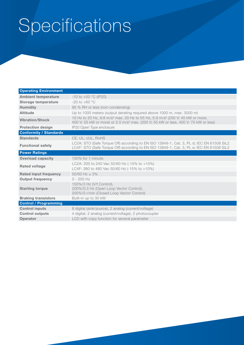## Specifications

| <b>Operating Environment</b>  |                                                                                                                                                                                                          |
|-------------------------------|----------------------------------------------------------------------------------------------------------------------------------------------------------------------------------------------------------|
| <b>Ambient temperature</b>    | $-10$ to $+50$ °C (IP20)                                                                                                                                                                                 |
| Storage temperature           | $-20$ to $+60$ °C                                                                                                                                                                                        |
| <b>Humidity</b>               | 95 % RH or less (non-condensing)                                                                                                                                                                         |
| <b>Altitude</b>               | Up to 1000 meters (output derating required above 1000 m, max. 3000 m)                                                                                                                                   |
| <b>Vibration/Shock</b>        | 10 Hz to 20 Hz, 9.8 m/s <sup>2</sup> max. 20 Hz to 55 Hz, 5.9 m/s <sup>2</sup> (200 V: 45 kW or more,<br>400 V: 55 kW or more) or 2.0 m/s <sup>2</sup> max. (200 V: 55 kW or less, 400 V: 75 kW or less) |
| <b>Protection design</b>      | IP20 Open Type enclosure                                                                                                                                                                                 |
| <b>Conformity / Standards</b> |                                                                                                                                                                                                          |
| <b>Standards</b>              | CE, UL, cUL, RoHS                                                                                                                                                                                        |
| <b>Functional safety</b>      | LC2A: STO (Safe Torque Off) according to EN ISO 13849-1, Cat. 3, PL d; IEC EN 61508 SiL2<br>LC4F: STO (Safe Torque Off) according to EN ISO 13849-1, Cat. 3, PL e; IEC EN 61508 SiL3                     |
| <b>Power Ratings</b>          |                                                                                                                                                                                                          |
| <b>Overload capacity</b>      | 150% for 1 minute                                                                                                                                                                                        |
| <b>Rated voltage</b>          | LC2A: 200 to 240 Vac 50/60 Hz (-15% to +10%)<br>LC4F: 380 to 480 Vac 50/60 Hz (-15% to +10%)                                                                                                             |
| <b>Rated input frequency</b>  | $50/60$ Hz $\pm$ 3%                                                                                                                                                                                      |
| <b>Output frequency</b>       | $0 - 200$ Hz                                                                                                                                                                                             |
| <b>Starting torque</b>        | 150%/3 Hz (V/f Control),<br>200%/0.3 Hz (Open Loop Vector Control),<br>200%/0 r/min (Closed Loop Vector Control)                                                                                         |
| <b>Braking transistors</b>    | Built-in up to 30 kW                                                                                                                                                                                     |
| <b>Control / Programming</b>  |                                                                                                                                                                                                          |
| <b>Control inputs</b>         | 8 digital (sink/source), 2 analog (current/voltage)                                                                                                                                                      |
| <b>Control outputs</b>        | 4 digital, 2 analog (current/voltage), 2 photocoupler                                                                                                                                                    |
| <b>Operator</b>               | LCD with copy function for several parameter                                                                                                                                                             |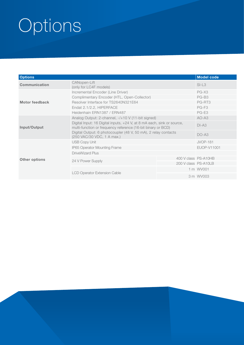# Options

| <b>Options</b>       |                                                                                                                                        |                      | <b>Model code</b> |
|----------------------|----------------------------------------------------------------------------------------------------------------------------------------|----------------------|-------------------|
| Communication        | CANopen-Lift<br>(only for LC4F models)                                                                                                 | $SI-L3$              |                   |
|                      | Incremental Encoder (Line Driver)                                                                                                      | PG-X3                |                   |
| Motor feedback       | Complimentary Encoder (HTL, Open-Collector)                                                                                            | $PG-BS$              |                   |
|                      | Resolver Interface for TS2640N321E64                                                                                                   | PG-RT3               |                   |
|                      | Endat 2.1/2.2, HIPERFACE                                                                                                               | $PG-F3$              |                   |
|                      | Heidenhain ERN1387 / ERN487                                                                                                            | PG-E3                |                   |
| Input/Output         | Analog Output: 2-channel, -/+10 V (11-bit signed)                                                                                      | $AO-AS$              |                   |
|                      | Digital Input: 16 Digital inputs, +24 V, at 8 mA each, sink or source,<br>multi-function or frequency reference (16-bit binary or BCD) | $DI-A3$              |                   |
|                      | Digital Output: 6 photocoupler (48 V, 50 mA), 2 relay contacts<br>(250 VAC/30 VDC, 1 A max.)                                           | $DO-AS$              |                   |
|                      | <b>USB Copy Unit</b>                                                                                                                   | <b>JVOP-181</b>      |                   |
|                      | IP65 Operator Mounting Frame                                                                                                           | EUOP-V11001          |                   |
|                      | DriveWizard Plus                                                                                                                       |                      |                   |
| <b>Other options</b> |                                                                                                                                        | 400 V class PS-A10HB |                   |
|                      | 24 V Power Supply                                                                                                                      | 200 V class PS-A10LB |                   |
|                      | <b>LCD Operator Extension Cable</b>                                                                                                    |                      | 1 m WV001         |
|                      |                                                                                                                                        |                      | 3 m WV003         |
|                      |                                                                                                                                        |                      |                   |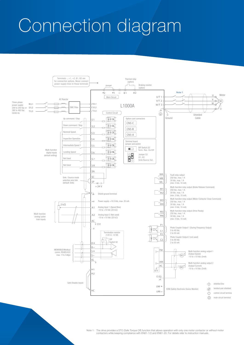## Connection diagram

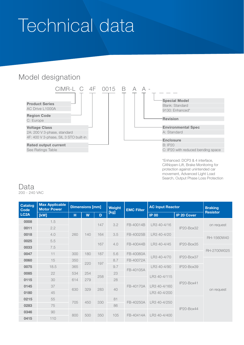## Technical data

### Model designation



\*Enhanced: DCP3 & 4 interface, CANopen-Lift, Brake Monitoring for protection against unintended car movement, Advanced Light Load Search, Output Phase Loss Protection

#### Data 200 - 240 VAC

| <b>Catalog</b><br><b>Code</b><br>LC <sub>2</sub> A | <b>Max Applicable</b><br><b>Motor Power</b> | <b>Dimensions [mm]</b> |                   |     | Weight | <b>EMC Filter</b> | <b>AC Input Reactor</b> |                    | <b>Braking</b>  |  |  |     |           |              |           |              |
|----------------------------------------------------|---------------------------------------------|------------------------|-------------------|-----|--------|-------------------|-------------------------|--------------------|-----------------|--|--|-----|-----------|--------------|-----------|--------------|
|                                                    | [kW]                                        | H                      | W                 | D   | [kg]   |                   | <b>IP 00</b>            | <b>IP 20 Cover</b> | <b>Resistor</b> |  |  |     |           |              |           |              |
| 0008                                               | 1.5                                         | 260                    |                   | 147 | 3.2    | FB-40014B         | LR3 40-4/16             | IP20-Box32         | on request      |  |  |     |           |              |           |              |
| 0011                                               | 2.2                                         |                        |                   |     |        |                   |                         |                    |                 |  |  |     |           |              |           |              |
| 0018                                               | 4.0                                         |                        | 140               | 164 | 3.5    | FB-40025B         | LR3 40-4/20             |                    | RH-1560W40      |  |  |     |           |              |           |              |
| 0025                                               | 5.5                                         |                        |                   | 167 | 4.0    | FB-40044B         | LR3 40-4/45             | IP20-Box35         |                 |  |  |     |           |              |           |              |
| 0033                                               | 7.5                                         |                        |                   |     |        |                   |                         |                    | RH-2700W025     |  |  |     |           |              |           |              |
| 0047                                               | 11                                          | 300                    | 180               | 187 | 5.6    | FB-40060A         | LR3 40-4/70             | IP20-Box37         |                 |  |  |     |           |              |           |              |
| 0060                                               | 15                                          | 350                    | 220               |     |        | 8.7               | FB-40072A               |                    |                 |  |  |     |           |              |           |              |
| 0075                                               | 18.5                                        | 365                    |                   | 197 | 9.7    | FB-40105A         | LR3 40-4/90             | IP20-Box39         |                 |  |  |     |           |              |           |              |
| 0085                                               | 22                                          | 534                    | 254<br>258<br>279 |     |        | 23                |                         | LR3 40-4/115       |                 |  |  |     |           |              |           |              |
| 0115                                               | 30                                          | 614                    |                   |     | 28     |                   |                         | IP20-Box41         |                 |  |  |     |           |              |           |              |
| 0145                                               | 37                                          | 630                    |                   |     |        |                   |                         |                    |                 |  |  |     | FB-40170A | LR3 40-4/160 |           |              |
| 0180                                               | 45                                          |                        | 329               | 283 | 40     |                   | LR3 40-4/200            |                    | on request      |  |  |     |           |              |           |              |
| 0215                                               | 55                                          | 705                    | 450               |     | 81     | FB-40250A         | LR3 40-4/250            |                    |                 |  |  |     |           |              |           |              |
| 0283                                               | 75                                          |                        |                   | 330 | 86     |                   |                         |                    |                 |  |  |     |           |              |           |              |
| 0346                                               | 90                                          | 800                    |                   |     |        |                   |                         |                    | IP20-Box44      |  |  |     |           |              |           |              |
| 0415                                               | 110                                         |                        |                   |     |        |                   |                         |                    |                 |  |  | 500 | 350       | 105          | FB-40414A | LR3 40-4/400 |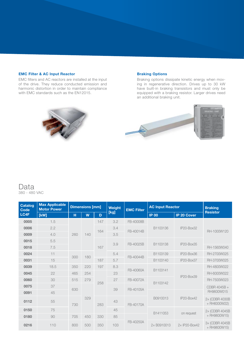#### EMC Filter & AC Input Reactor

EMC filters and AC reactors are installed at the input of the drive. They reduce conducted emission and harmonic distortion in order to maintain compliance with EMC standards such as the EN12015.

#### Braking Options

Braking options dissipate kinetic energy when moving in regenerative direction. Drives up to 30 kW have built-in braking transistors and must only be equipped with a braking resistor. Larger drives need an additional braking unit.



Data 380 - 480 VAC

| <b>Catalog</b><br><b>Code</b><br>LC4F | <b>Max Applicable</b><br><b>Motor Power</b> | <b>Dimensions [mm]</b>   |     |     | Weight    | <b>EMC Filter</b> | <b>AC Input Reactor</b> |                                 | <b>Braking</b>                 |             |           |  |  |              |
|---------------------------------------|---------------------------------------------|--------------------------|-----|-----|-----------|-------------------|-------------------------|---------------------------------|--------------------------------|-------------|-----------|--|--|--------------|
|                                       | [kW]                                        | н                        | W   | D   | [kg]      |                   | <b>IP 00</b>            | <b>IP 20 Cover</b>              | <b>Resistor</b>                |             |           |  |  |              |
| 0005                                  | 1.5                                         | 260                      | 140 | 147 | 3.2       | FB-40008B         | B1103136                | IP20-Box32                      | RH-1000W120                    |             |           |  |  |              |
| 0006                                  | 2.2                                         |                          |     | 164 | 3.4       | FB-40014B         |                         |                                 |                                |             |           |  |  |              |
| 0009                                  | 4.0                                         |                          |     |     | 3.5       |                   |                         |                                 |                                |             |           |  |  |              |
| 0015                                  | 5.5                                         |                          |     |     |           |                   | B1103138                |                                 |                                |             |           |  |  |              |
| 0018                                  | 7.5                                         |                          |     |     | 167       | 3.9               | FB-40025B               |                                 | IP20-Box35                     | RH-1560W040 |           |  |  |              |
| 0024                                  | 11                                          | 300                      |     |     | 5.4       | FB-40044B         | B1103139                | IP20-Box36                      | RH-2700W025                    |             |           |  |  |              |
| 0031                                  | 15                                          |                          | 180 | 187 | 5.7       |                   | B1103140                | IP20-Box37                      | RH-3700W025                    |             |           |  |  |              |
| 0039                                  | 18.5                                        | 350                      | 220 | 197 | 8.3       | FB-40060A         | B1103141                |                                 | RH-4800W022                    |             |           |  |  |              |
| 0045                                  | 22                                          | 465<br>515<br>630<br>730 | 254 |     | 23        |                   | B1103142                | IP20-Box39                      | RH-6000W022                    |             |           |  |  |              |
| 0060                                  | 30                                          |                          | 279 | 258 | 27        | FB-40072A         |                         |                                 | RH-7500W023                    |             |           |  |  |              |
| 0075                                  | 37                                          |                          |     |     |           |                   |                         |                                 |                                | 39          | FB-40105A |  |  | CDBR 4045B + |
| 0091                                  | 45                                          |                          |     |     |           |                   | B0910013                | <b>IP20-Box42</b>               | RH9600W015                     |             |           |  |  |              |
| 0112                                  | 55                                          |                          | 329 | 283 | 43        | FB-40170A         |                         |                                 | 2x (CDBR 4030B<br>+ RH6000W22) |             |           |  |  |              |
| 0150                                  | 75                                          |                          |     |     | 45        |                   |                         |                                 | 2x (CDBR 4045B                 |             |           |  |  |              |
| 0180                                  | 90                                          | 705<br>450<br>800<br>500 | 330 | 85  |           | B1411053          | on request              | + RH9600W15)                    |                                |             |           |  |  |              |
| 0216                                  | 110                                         |                          | 350 | 103 | FB-40250A | 2×B0910013        | 2x IP20-Box42           | 3x (CDBR 4045B)<br>+ RH9600W15) |                                |             |           |  |  |              |